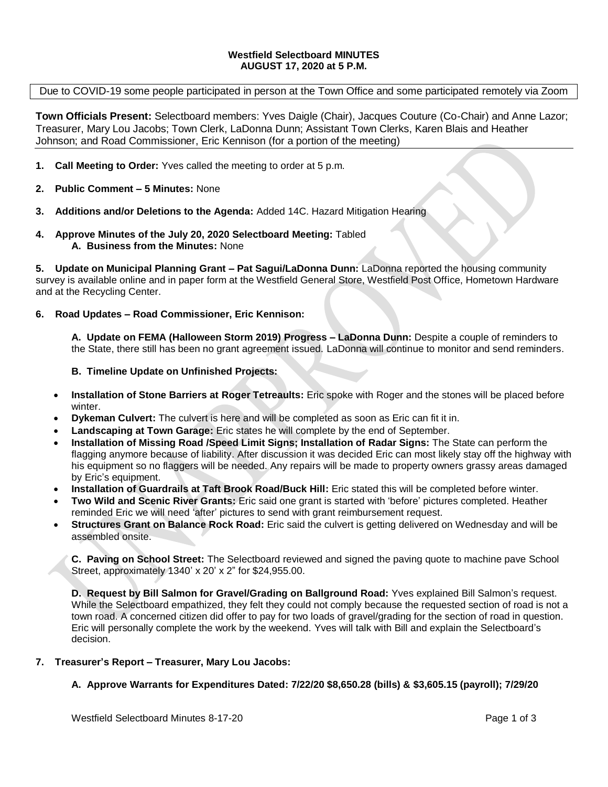### **Westfield Selectboard MINUTES AUGUST 17, 2020 at 5 P.M.**

### Due to COVID-19 some people participated in person at the Town Office and some participated remotely via Zoom

**Town Officials Present:** Selectboard members: Yves Daigle (Chair), Jacques Couture (Co-Chair) and Anne Lazor; Treasurer, Mary Lou Jacobs; Town Clerk, LaDonna Dunn; Assistant Town Clerks, Karen Blais and Heather Johnson; and Road Commissioner, Eric Kennison (for a portion of the meeting)

- **1. Call Meeting to Order:** Yves called the meeting to order at 5 p.m.
- **2. Public Comment – 5 Minutes:** None
- **3. Additions and/or Deletions to the Agenda:** Added 14C. Hazard Mitigation Hearing
- **4. Approve Minutes of the July 20, 2020 Selectboard Meeting:** Tabled **A. Business from the Minutes:** None

**5. Update on Municipal Planning Grant – Pat Sagui/LaDonna Dunn:** LaDonna reported the housing community survey is available online and in paper form at the Westfield General Store, Westfield Post Office, Hometown Hardware and at the Recycling Center.

### **6. Road Updates – Road Commissioner, Eric Kennison:**

**A. Update on FEMA (Halloween Storm 2019) Progress – LaDonna Dunn:** Despite a couple of reminders to the State, there still has been no grant agreement issued. LaDonna will continue to monitor and send reminders.

### **B. Timeline Update on Unfinished Projects:**

- **Installation of Stone Barriers at Roger Tetreaults:** Eric spoke with Roger and the stones will be placed before winter.
- **Dykeman Culvert:** The culvert is here and will be completed as soon as Eric can fit it in.
- **Landscaping at Town Garage:** Eric states he will complete by the end of September.
- **Installation of Missing Road /Speed Limit Signs; Installation of Radar Signs:** The State can perform the flagging anymore because of liability. After discussion it was decided Eric can most likely stay off the highway with his equipment so no flaggers will be needed. Any repairs will be made to property owners grassy areas damaged by Eric's equipment.
- **Installation of Guardrails at Taft Brook Road/Buck Hill:** Eric stated this will be completed before winter.
- **Two Wild and Scenic River Grants:** Eric said one grant is started with 'before' pictures completed. Heather reminded Eric we will need 'after' pictures to send with grant reimbursement request.
- **Structures Grant on Balance Rock Road:** Eric said the culvert is getting delivered on Wednesday and will be assembled onsite.

**C. Paving on School Street:** The Selectboard reviewed and signed the paving quote to machine pave School Street, approximately 1340' x 20' x 2" for \$24,955.00.

**D. Request by Bill Salmon for Gravel/Grading on Ballground Road:** Yves explained Bill Salmon's request. While the Selectboard empathized, they felt they could not comply because the requested section of road is not a town road. A concerned citizen did offer to pay for two loads of gravel/grading for the section of road in question. Eric will personally complete the work by the weekend. Yves will talk with Bill and explain the Selectboard's decision.

### **7. Treasurer's Report – Treasurer, Mary Lou Jacobs:**

# **A. Approve Warrants for Expenditures Dated: 7/22/20 \$8,650.28 (bills) & \$3,605.15 (payroll); 7/29/20**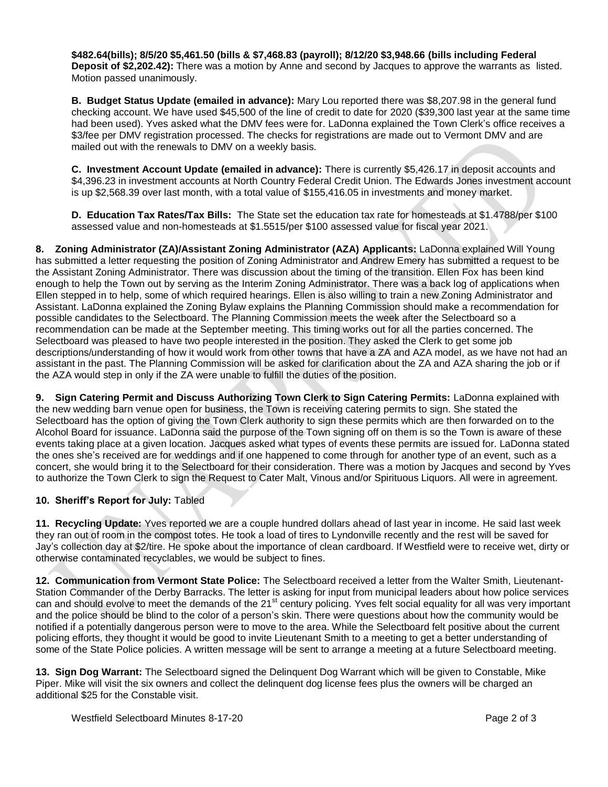**\$482.64(bills); 8/5/20 \$5,461.50 (bills & \$7,468.83 (payroll); 8/12/20 \$3,948.66 (bills including Federal Deposit of \$2,202.42):** There was a motion by Anne and second by Jacques to approve the warrants as listed. Motion passed unanimously.

**B. Budget Status Update (emailed in advance):** Mary Lou reported there was \$8,207.98 in the general fund checking account. We have used \$45,500 of the line of credit to date for 2020 (\$39,300 last year at the same time had been used). Yves asked what the DMV fees were for. LaDonna explained the Town Clerk's office receives a \$3/fee per DMV registration processed. The checks for registrations are made out to Vermont DMV and are mailed out with the renewals to DMV on a weekly basis.

**C. Investment Account Update (emailed in advance):** There is currently \$5,426.17 in deposit accounts and \$4,396.23 in investment accounts at North Country Federal Credit Union. The Edwards Jones investment account is up \$2,568.39 over last month, with a total value of \$155,416.05 in investments and money market.

**D. Education Tax Rates/Tax Bills:** The State set the education tax rate for homesteads at \$1.4788/per \$100 assessed value and non-homesteads at \$1.5515/per \$100 assessed value for fiscal year 2021.

**8. Zoning Administrator (ZA)/Assistant Zoning Administrator (AZA) Applicants:** LaDonna explained Will Young has submitted a letter requesting the position of Zoning Administrator and Andrew Emery has submitted a request to be the Assistant Zoning Administrator. There was discussion about the timing of the transition. Ellen Fox has been kind enough to help the Town out by serving as the Interim Zoning Administrator. There was a back log of applications when Ellen stepped in to help, some of which required hearings. Ellen is also willing to train a new Zoning Administrator and Assistant. LaDonna explained the Zoning Bylaw explains the Planning Commission should make a recommendation for possible candidates to the Selectboard. The Planning Commission meets the week after the Selectboard so a recommendation can be made at the September meeting. This timing works out for all the parties concerned. The Selectboard was pleased to have two people interested in the position. They asked the Clerk to get some job descriptions/understanding of how it would work from other towns that have a ZA and AZA model, as we have not had an assistant in the past. The Planning Commission will be asked for clarification about the ZA and AZA sharing the job or if the AZA would step in only if the ZA were unable to fulfill the duties of the position.

**9. Sign Catering Permit and Discuss Authorizing Town Clerk to Sign Catering Permits:** LaDonna explained with the new wedding barn venue open for business, the Town is receiving catering permits to sign. She stated the Selectboard has the option of giving the Town Clerk authority to sign these permits which are then forwarded on to the Alcohol Board for issuance. LaDonna said the purpose of the Town signing off on them is so the Town is aware of these events taking place at a given location. Jacques asked what types of events these permits are issued for. LaDonna stated the ones she's received are for weddings and if one happened to come through for another type of an event, such as a concert, she would bring it to the Selectboard for their consideration. There was a motion by Jacques and second by Yves to authorize the Town Clerk to sign the Request to Cater Malt, Vinous and/or Spirituous Liquors. All were in agreement.

# **10. Sheriff's Report for July:** Tabled

**11. Recycling Update:** Yves reported we are a couple hundred dollars ahead of last year in income. He said last week they ran out of room in the compost totes. He took a load of tires to Lyndonville recently and the rest will be saved for Jay's collection day at \$2/tire. He spoke about the importance of clean cardboard. If Westfield were to receive wet, dirty or otherwise contaminated recyclables, we would be subject to fines.

**12. Communication from Vermont State Police:** The Selectboard received a letter from the Walter Smith, Lieutenant-Station Commander of the Derby Barracks. The letter is asking for input from municipal leaders about how police services can and should evolve to meet the demands of the 21<sup>st</sup> century policing. Yves felt social equality for all was very important and the police should be blind to the color of a person's skin. There were questions about how the community would be notified if a potentially dangerous person were to move to the area. While the Selectboard felt positive about the current policing efforts, they thought it would be good to invite Lieutenant Smith to a meeting to get a better understanding of some of the State Police policies. A written message will be sent to arrange a meeting at a future Selectboard meeting.

**13. Sign Dog Warrant:** The Selectboard signed the Delinquent Dog Warrant which will be given to Constable, Mike Piper. Mike will visit the six owners and collect the delinquent dog license fees plus the owners will be charged an additional \$25 for the Constable visit.